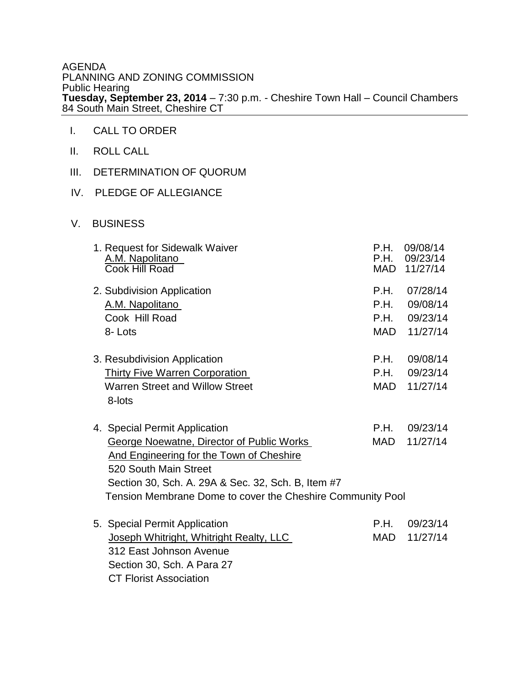AGENDA PLANNING AND ZONING COMMISSION Public Hearing **Tuesday, September 23, 2014** – 7:30 p.m. - Cheshire Town Hall – Council Chambers 84 South Main Street, Cheshire CT

- I. CALL TO ORDER
- II. ROLL CALL
- III. DETERMINATION OF QUORUM

CT Florist Association

- IV. PLEDGE OF ALLEGIANCE
- V. BUSINESS

| 1. Request for Sidewalk Waiver<br>A.M. Napolitano<br>Cook Hill Road | P.H.<br>P.H. | 09/08/14<br>09/23/14<br>MAD 11/27/14 |  |
|---------------------------------------------------------------------|--------------|--------------------------------------|--|
| 2. Subdivision Application                                          | P.H.         | 07/28/14                             |  |
| A.M. Napolitano                                                     | P.H.         | 09/08/14                             |  |
| Cook Hill Road                                                      | P.H.         | 09/23/14                             |  |
| 8-Lots                                                              | MAD          | 11/27/14                             |  |
| 3. Resubdivision Application                                        | P.H.         | 09/08/14                             |  |
| <b>Thirty Five Warren Corporation</b>                               | P.H.         | 09/23/14                             |  |
| <b>Warren Street and Willow Street</b>                              | MAD          | 11/27/14                             |  |
| 8-lots                                                              |              |                                      |  |
| 4. Special Permit Application                                       | P.H.         | 09/23/14                             |  |
| George Noewatne, Director of Public Works                           | MAD          | 11/27/14                             |  |
| And Engineering for the Town of Cheshire                            |              |                                      |  |
| 520 South Main Street                                               |              |                                      |  |
| Section 30, Sch. A. 29A & Sec. 32, Sch. B, Item #7                  |              |                                      |  |
| Tension Membrane Dome to cover the Cheshire Community Pool          |              |                                      |  |
| 5. Special Permit Application                                       | P.H.         | 09/23/14                             |  |
| Joseph Whitright, Whitright Realty, LLC                             | <b>MAD</b>   | 11/27/14                             |  |
| 312 East Johnson Avenue                                             |              |                                      |  |
| Section 30, Sch. A Para 27                                          |              |                                      |  |